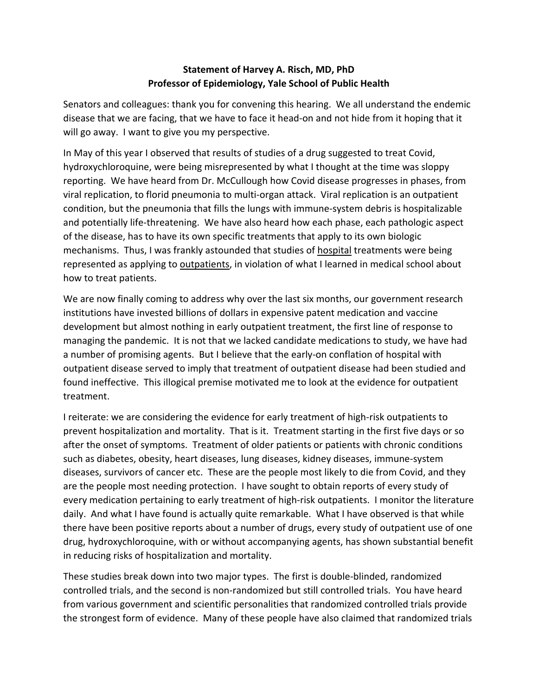## **Statement of Harvey A. Risch, MD, PhD Professor of Epidemiology, Yale School of Public Health**

Senators and colleagues: thank you for convening this hearing. We all understand the endemic disease that we are facing, that we have to face it head-on and not hide from it hoping that it will go away. I want to give you my perspective.

In May of this year I observed that results of studies of a drug suggested to treat Covid, hydroxychloroquine, were being misrepresented by what I thought at the time was sloppy reporting. We have heard from Dr. McCullough how Covid disease progresses in phases, from viral replication, to florid pneumonia to multi-organ attack. Viral replication is an outpatient condition, but the pneumonia that fills the lungs with immune-system debris is hospitalizable and potentially life-threatening. We have also heard how each phase, each pathologic aspect of the disease, has to have its own specific treatments that apply to its own biologic mechanisms. Thus, I was frankly astounded that studies of hospital treatments were being represented as applying to **outpatients**, in violation of what I learned in medical school about how to treat patients.

We are now finally coming to address why over the last six months, our government research institutions have invested billions of dollars in expensive patent medication and vaccine development but almost nothing in early outpatient treatment, the first line of response to managing the pandemic. It is not that we lacked candidate medications to study, we have had a number of promising agents. But I believe that the early-on conflation of hospital with outpatient disease served to imply that treatment of outpatient disease had been studied and found ineffective. This illogical premise motivated me to look at the evidence for outpatient treatment.

I reiterate: we are considering the evidence for early treatment of high-risk outpatients to prevent hospitalization and mortality. That is it. Treatment starting in the first five days or so after the onset of symptoms. Treatment of older patients or patients with chronic conditions such as diabetes, obesity, heart diseases, lung diseases, kidney diseases, immune-system diseases, survivors of cancer etc. These are the people most likely to die from Covid, and they are the people most needing protection. I have sought to obtain reports of every study of every medication pertaining to early treatment of high-risk outpatients. I monitor the literature daily. And what I have found is actually quite remarkable. What I have observed is that while there have been positive reports about a number of drugs, every study of outpatient use of one drug, hydroxychloroquine, with or without accompanying agents, has shown substantial benefit in reducing risks of hospitalization and mortality.

These studies break down into two major types. The first is double-blinded, randomized controlled trials, and the second is non-randomized but still controlled trials. You have heard from various government and scientific personalities that randomized controlled trials provide the strongest form of evidence. Many of these people have also claimed that randomized trials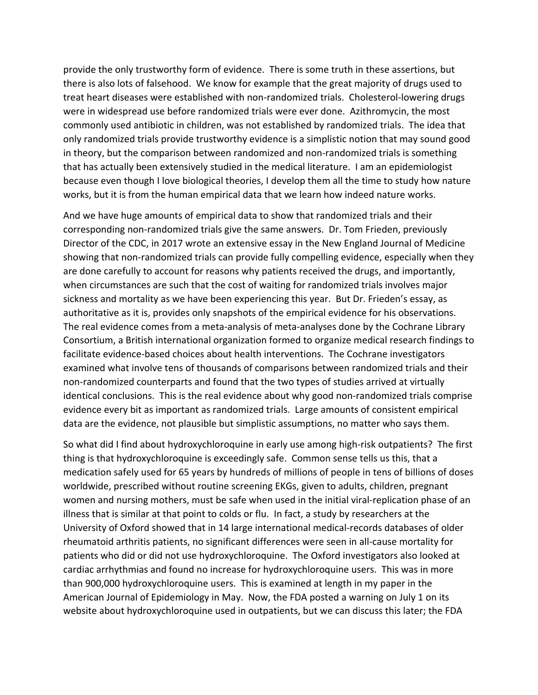provide the only trustworthy form of evidence. There is some truth in these assertions, but there is also lots of falsehood. We know for example that the great majority of drugs used to treat heart diseases were established with non-randomized trials. Cholesterol-lowering drugs were in widespread use before randomized trials were ever done. Azithromycin, the most commonly used antibiotic in children, was not established by randomized trials. The idea that only randomized trials provide trustworthy evidence is a simplistic notion that may sound good in theory, but the comparison between randomized and non-randomized trials is something that has actually been extensively studied in the medical literature. I am an epidemiologist because even though I love biological theories, I develop them all the time to study how nature works, but it is from the human empirical data that we learn how indeed nature works.

And we have huge amounts of empirical data to show that randomized trials and their corresponding non-randomized trials give the same answers. Dr. Tom Frieden, previously Director of the CDC, in 2017 wrote an extensive essay in the New England Journal of Medicine showing that non-randomized trials can provide fully compelling evidence, especially when they are done carefully to account for reasons why patients received the drugs, and importantly, when circumstances are such that the cost of waiting for randomized trials involves major sickness and mortality as we have been experiencing this year. But Dr. Frieden's essay, as authoritative as it is, provides only snapshots of the empirical evidence for his observations. The real evidence comes from a meta-analysis of meta-analyses done by the Cochrane Library Consortium, a British international organization formed to organize medical research findings to facilitate evidence-based choices about health interventions. The Cochrane investigators examined what involve tens of thousands of comparisons between randomized trials and their non-randomized counterparts and found that the two types of studies arrived at virtually identical conclusions. This is the real evidence about why good non-randomized trials comprise evidence every bit as important as randomized trials. Large amounts of consistent empirical data are the evidence, not plausible but simplistic assumptions, no matter who says them.

So what did I find about hydroxychloroquine in early use among high-risk outpatients? The first thing is that hydroxychloroquine is exceedingly safe. Common sense tells us this, that a medication safely used for 65 years by hundreds of millions of people in tens of billions of doses worldwide, prescribed without routine screening EKGs, given to adults, children, pregnant women and nursing mothers, must be safe when used in the initial viral-replication phase of an illness that is similar at that point to colds or flu. In fact, a study by researchers at the University of Oxford showed that in 14 large international medical-records databases of older rheumatoid arthritis patients, no significant differences were seen in all-cause mortality for patients who did or did not use hydroxychloroquine. The Oxford investigators also looked at cardiac arrhythmias and found no increase for hydroxychloroquine users. This was in more than 900,000 hydroxychloroquine users. This is examined at length in my paper in the American Journal of Epidemiology in May. Now, the FDA posted a warning on July 1 on its website about hydroxychloroquine used in outpatients, but we can discuss this later; the FDA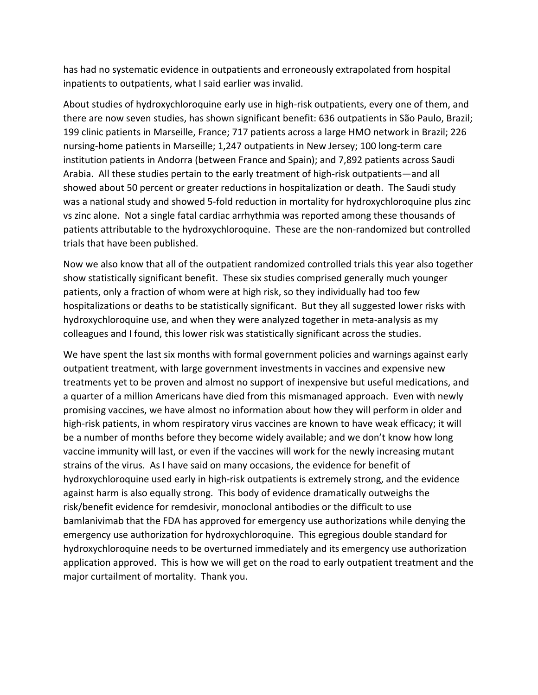has had no systematic evidence in outpatients and erroneously extrapolated from hospital inpatients to outpatients, what I said earlier was invalid.

About studies of hydroxychloroquine early use in high-risk outpatients, every one of them, and there are now seven studies, has shown significant benefit: 636 outpatients in São Paulo, Brazil; 199 clinic patients in Marseille, France; 717 patients across a large HMO network in Brazil; 226 nursing-home patients in Marseille; 1,247 outpatients in New Jersey; 100 long-term care institution patients in Andorra (between France and Spain); and 7,892 patients across Saudi Arabia. All these studies pertain to the early treatment of high-risk outpatients—and all showed about 50 percent or greater reductions in hospitalization or death. The Saudi study was a national study and showed 5-fold reduction in mortality for hydroxychloroquine plus zinc vs zinc alone. Not a single fatal cardiac arrhythmia was reported among these thousands of patients attributable to the hydroxychloroquine. These are the non-randomized but controlled trials that have been published.

Now we also know that all of the outpatient randomized controlled trials this year also together show statistically significant benefit. These six studies comprised generally much younger patients, only a fraction of whom were at high risk, so they individually had too few hospitalizations or deaths to be statistically significant. But they all suggested lower risks with hydroxychloroquine use, and when they were analyzed together in meta-analysis as my colleagues and I found, this lower risk was statistically significant across the studies.

We have spent the last six months with formal government policies and warnings against early outpatient treatment, with large government investments in vaccines and expensive new treatments yet to be proven and almost no support of inexpensive but useful medications, and a quarter of a million Americans have died from this mismanaged approach. Even with newly promising vaccines, we have almost no information about how they will perform in older and high-risk patients, in whom respiratory virus vaccines are known to have weak efficacy; it will be a number of months before they become widely available; and we don't know how long vaccine immunity will last, or even if the vaccines will work for the newly increasing mutant strains of the virus. As I have said on many occasions, the evidence for benefit of hydroxychloroquine used early in high-risk outpatients is extremely strong, and the evidence against harm is also equally strong. This body of evidence dramatically outweighs the risk/benefit evidence for remdesivir, monoclonal antibodies or the difficult to use bamlanivimab that the FDA has approved for emergency use authorizations while denying the emergency use authorization for hydroxychloroquine. This egregious double standard for hydroxychloroquine needs to be overturned immediately and its emergency use authorization application approved. This is how we will get on the road to early outpatient treatment and the major curtailment of mortality. Thank you.